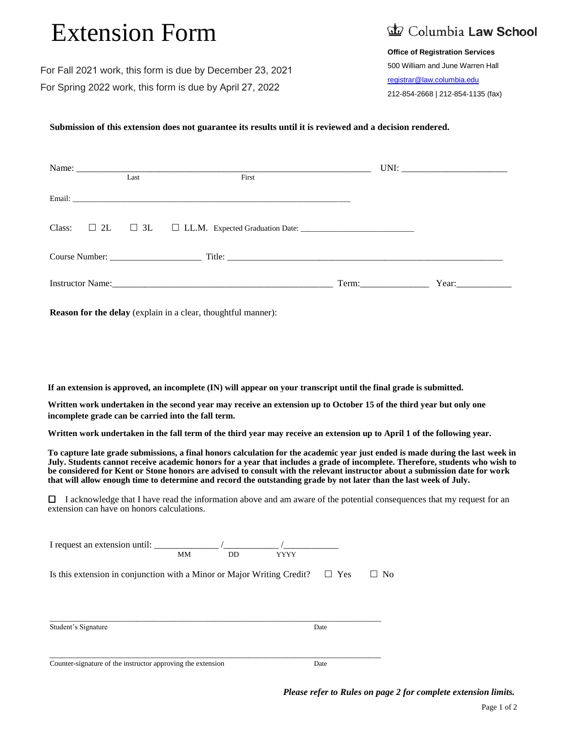# Extension Form

## Columbia Law School

#### **Office of Registration Services**

 500 William and June Warren Hall [registrar@law.columbia.edu](mailto:registrar@law.columbia.edu) 212-854-2668 | 212-854-1135 (fax)

For Fall 2021 work, this form is due by December 23, 2021 For Spring 2022 work, this form is due by April 27, 2022

#### **Submission of this extension does not guarantee its results until it is reviewed and a decision rendered.**

| Last | First                                                                                                                                                                                                                         |       |       |  |
|------|-------------------------------------------------------------------------------------------------------------------------------------------------------------------------------------------------------------------------------|-------|-------|--|
|      |                                                                                                                                                                                                                               |       |       |  |
|      |                                                                                                                                                                                                                               |       |       |  |
|      |                                                                                                                                                                                                                               |       |       |  |
|      | Instructor Name: 2008. [2016] The Manual Assembly Decision of the Manual Assembly Decision of the Manual Assembly Decision of the Manual Assembly Decision of the Manual Assembly Decision of the Manual Assembly Decision of | Term: | Year: |  |

**Reason for the delay** (explain in a clear, thoughtful manner):

**If an extension is approved, an incomplete (IN) will appear on your transcript until the final grade is submitted.**

**Written work undertaken in the second year may receive an extension up to October 15 of the third year but only one incomplete grade can be carried into the fall term.**

**Written work undertaken in the fall term of the third year may receive an extension up to April 1 of the following year.**

**To capture late grade submissions, a final honors calculation for the academic year just ended is made during the last week in July. Students cannot receive academic honors for a year that includes a grade of incomplete. Therefore, students who wish to be considered for Kent or Stone honors are advised to consult with the relevant instructor about a submission date for work that will allow enough time to determine and record the outstanding grade by not later than the last week of July.**

 $\Box$  I acknowledge that I have read the information above and am aware of the potential consequences that my request for an extension can have on honors calculations.

| I request an extension until:                                          | <b>MM</b> | <b>DD</b> | <b>YYYY</b> |            |                |
|------------------------------------------------------------------------|-----------|-----------|-------------|------------|----------------|
| Is this extension in conjunction with a Minor or Major Writing Credit? |           |           |             | $\Box$ Yes | N <sub>0</sub> |
| Student's Signature                                                    |           |           |             | Date       |                |